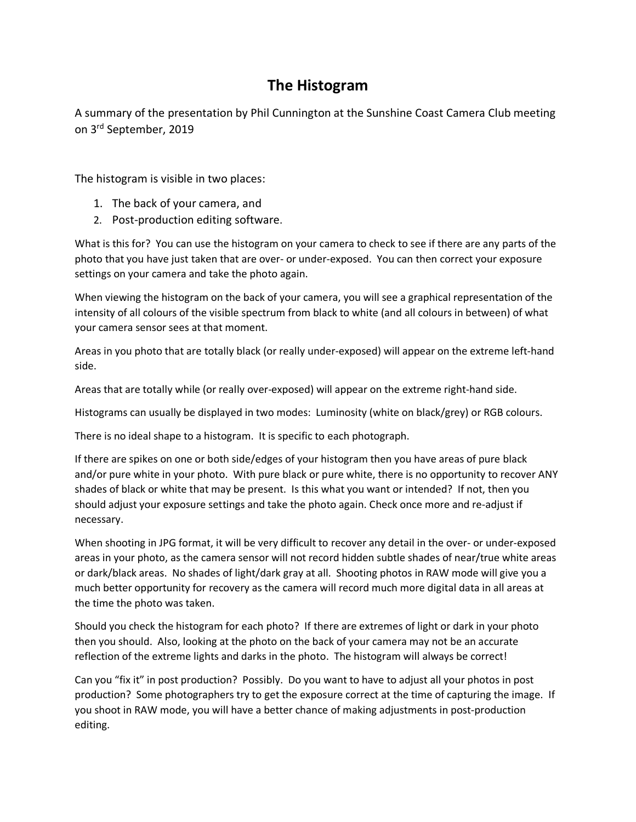## **The Histogram**

A summary of the presentation by Phil Cunnington at the Sunshine Coast Camera Club meeting on 3rd September, 2019

The histogram is visible in two places:

- 1. The back of your camera, and
- 2. Post-production editing software.

What is this for? You can use the histogram on your camera to check to see if there are any parts of the photo that you have just taken that are over- or under-exposed. You can then correct your exposure settings on your camera and take the photo again.

When viewing the histogram on the back of your camera, you will see a graphical representation of the intensity of all colours of the visible spectrum from black to white (and all colours in between) of what your camera sensor sees at that moment.

Areas in you photo that are totally black (or really under-exposed) will appear on the extreme left-hand side.

Areas that are totally while (or really over-exposed) will appear on the extreme right-hand side.

Histograms can usually be displayed in two modes: Luminosity (white on black/grey) or RGB colours.

There is no ideal shape to a histogram. It is specific to each photograph.

If there are spikes on one or both side/edges of your histogram then you have areas of pure black and/or pure white in your photo. With pure black or pure white, there is no opportunity to recover ANY shades of black or white that may be present. Is this what you want or intended? If not, then you should adjust your exposure settings and take the photo again. Check once more and re-adjust if necessary.

When shooting in JPG format, it will be very difficult to recover any detail in the over- or under-exposed areas in your photo, as the camera sensor will not record hidden subtle shades of near/true white areas or dark/black areas. No shades of light/dark gray at all. Shooting photos in RAW mode will give you a much better opportunity for recovery as the camera will record much more digital data in all areas at the time the photo was taken.

Should you check the histogram for each photo? If there are extremes of light or dark in your photo then you should. Also, looking at the photo on the back of your camera may not be an accurate reflection of the extreme lights and darks in the photo. The histogram will always be correct!

Can you "fix it" in post production? Possibly. Do you want to have to adjust all your photos in post production? Some photographers try to get the exposure correct at the time of capturing the image. If you shoot in RAW mode, you will have a better chance of making adjustments in post-production editing.